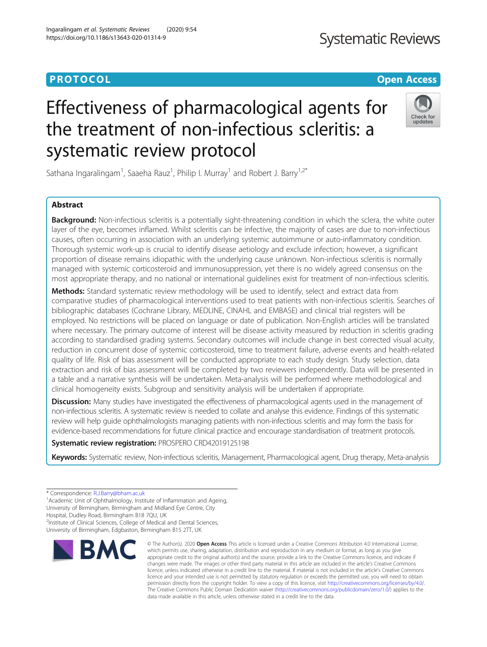# **PROTOCOL CONSUMING THE OPEN ACCESS**

# Effectiveness of pharmacological agents for the treatment of non-infectious scleritis: a systematic review protocol

Sathana Ingaralingam<sup>1</sup>, Saaeha Rauz<sup>1</sup>, Philip I. Murray<sup>1</sup> and Robert J. Barry<sup>1,2\*</sup>

# Abstract

Background: Non-infectious scleritis is a potentially sight-threatening condition in which the sclera, the white outer layer of the eye, becomes inflamed. Whilst scleritis can be infective, the majority of cases are due to non-infectious causes, often occurring in association with an underlying systemic autoimmune or auto-inflammatory condition. Thorough systemic work-up is crucial to identify disease aetiology and exclude infection; however, a significant proportion of disease remains idiopathic with the underlying cause unknown. Non-infectious scleritis is normally managed with systemic corticosteroid and immunosuppression, yet there is no widely agreed consensus on the most appropriate therapy, and no national or international guidelines exist for treatment of non-infectious scleritis.

Methods: Standard systematic review methodology will be used to identify, select and extract data from comparative studies of pharmacological interventions used to treat patients with non-infectious scleritis. Searches of bibliographic databases (Cochrane Library, MEDLINE, CINAHL and EMBASE) and clinical trial registers will be employed. No restrictions will be placed on language or date of publication. Non-English articles will be translated where necessary. The primary outcome of interest will be disease activity measured by reduction in scleritis grading according to standardised grading systems. Secondary outcomes will include change in best corrected visual acuity, reduction in concurrent dose of systemic corticosteroid, time to treatment failure, adverse events and health-related quality of life. Risk of bias assessment will be conducted appropriate to each study design. Study selection, data extraction and risk of bias assessment will be completed by two reviewers independently. Data will be presented in a table and a narrative synthesis will be undertaken. Meta-analysis will be performed where methodological and clinical homogeneity exists. Subgroup and sensitivity analysis will be undertaken if appropriate.

Discussion: Many studies have investigated the effectiveness of pharmacological agents used in the management of non-infectious scleritis. A systematic review is needed to collate and analyse this evidence. Findings of this systematic review will help guide ophthalmologists managing patients with non-infectious scleritis and may form the basis for evidence-based recommendations for future clinical practice and encourage standardisation of treatment protocols.

# Systematic review registration: PROSPERO CRD42019125198

Keywords: Systematic review, Non-infectious scleritis, Management, Pharmacological agent, Drug therapy, Meta-analysis

University of Birmingham, Birmingham and Midland Eye Centre, City

Hospital, Dudley Road, Birmingham B18 7QU, UK

<sup>2</sup>Institute of Clinical Sciences, College of Medical and Dental Sciences,









<sup>©</sup> The Author(s), 2020 **Open Access** This article is licensed under a Creative Commons Attribution 4.0 International License, which permits use, sharing, adaptation, distribution and reproduction in any medium or format, as long as you give appropriate credit to the original author(s) and the source, provide a link to the Creative Commons licence, and indicate if changes were made. The images or other third party material in this article are included in the article's Creative Commons licence, unless indicated otherwise in a credit line to the material. If material is not included in the article's Creative Commons licence and your intended use is not permitted by statutory regulation or exceeds the permitted use, you will need to obtain permission directly from the copyright holder. To view a copy of this licence, visit [http://creativecommons.org/licenses/by/4.0/.](http://creativecommons.org/licenses/by/4.0/) The Creative Commons Public Domain Dedication waiver [\(http://creativecommons.org/publicdomain/zero/1.0/](http://creativecommons.org/publicdomain/zero/1.0/)) applies to the data made available in this article, unless otherwise stated in a credit line to the data.

<sup>\*</sup> Correspondence: [R.J.Barry@bham.ac.uk](mailto:R.J.Barry@bham.ac.uk) <sup>1</sup>

<sup>&</sup>lt;sup>1</sup> Academic Unit of Ophthalmology, Institute of Inflammation and Ageing,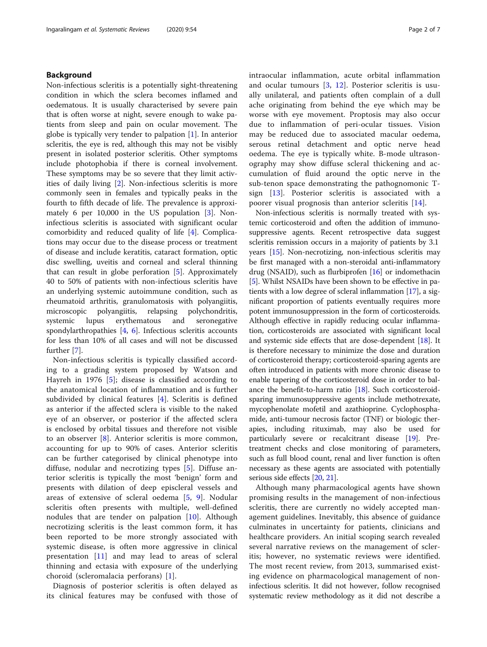# Background

Non-infectious scleritis is a potentially sight-threatening condition in which the sclera becomes inflamed and oedematous. It is usually characterised by severe pain that is often worse at night, severe enough to wake patients from sleep and pain on ocular movement. The globe is typically very tender to palpation  $[1]$  $[1]$ . In anterior scleritis, the eye is red, although this may not be visibly present in isolated posterior scleritis. Other symptoms include photophobia if there is corneal involvement. These symptoms may be so severe that they limit activities of daily living [\[2](#page-6-0)]. Non-infectious scleritis is more commonly seen in females and typically peaks in the fourth to fifth decade of life. The prevalence is approximately 6 per 10,000 in the US population [\[3](#page-6-0)]. Noninfectious scleritis is associated with significant ocular comorbidity and reduced quality of life [[4\]](#page-6-0). Complications may occur due to the disease process or treatment of disease and include keratitis, cataract formation, optic disc swelling, uveitis and corneal and scleral thinning that can result in globe perforation [\[5](#page-6-0)]. Approximately 40 to 50% of patients with non-infectious scleritis have an underlying systemic autoimmune condition, such as rheumatoid arthritis, granulomatosis with polyangiitis, microscopic polyangiitis, relapsing polychondritis, systemic lupus erythematous and seronegative spondylarthropathies [[4,](#page-6-0) [6\]](#page-6-0). Infectious scleritis accounts for less than 10% of all cases and will not be discussed further [\[7](#page-6-0)].

Non-infectious scleritis is typically classified according to a grading system proposed by Watson and Hayreh in 1976 [\[5](#page-6-0)]; disease is classified according to the anatomical location of inflammation and is further subdivided by clinical features [[4\]](#page-6-0). Scleritis is defined as anterior if the affected sclera is visible to the naked eye of an observer, or posterior if the affected sclera is enclosed by orbital tissues and therefore not visible to an observer [[8\]](#page-6-0). Anterior scleritis is more common, accounting for up to 90% of cases. Anterior scleritis can be further categorised by clinical phenotype into diffuse, nodular and necrotizing types [[5\]](#page-6-0). Diffuse anterior scleritis is typically the most 'benign' form and presents with dilation of deep episcleral vessels and areas of extensive of scleral oedema [\[5](#page-6-0), [9](#page-6-0)]. Nodular scleritis often presents with multiple, well-defined nodules that are tender on palpation [[10\]](#page-6-0). Although necrotizing scleritis is the least common form, it has been reported to be more strongly associated with systemic disease, is often more aggressive in clinical presentation [\[11](#page-6-0)] and may lead to areas of scleral thinning and ectasia with exposure of the underlying choroid (scleromalacia perforans) [[1\]](#page-6-0).

Diagnosis of posterior scleritis is often delayed as its clinical features may be confused with those of intraocular inflammation, acute orbital inflammation and ocular tumours [\[3](#page-6-0), [12](#page-6-0)]. Posterior scleritis is usually unilateral, and patients often complain of a dull ache originating from behind the eye which may be worse with eye movement. Proptosis may also occur due to inflammation of peri-ocular tissues. Vision may be reduced due to associated macular oedema, serous retinal detachment and optic nerve head oedema. The eye is typically white. B-mode ultrasonography may show diffuse scleral thickening and accumulation of fluid around the optic nerve in the sub-tenon space demonstrating the pathognomonic Tsign [[13\]](#page-6-0). Posterior scleritis is associated with a poorer visual prognosis than anterior scleritis [[14\]](#page-6-0).

Non-infectious scleritis is normally treated with systemic corticosteroid and often the addition of immunosuppressive agents. Recent retrospective data suggest scleritis remission occurs in a majority of patients by 3.1 years [[15](#page-6-0)]. Non-necrotizing, non-infectious scleritis may be first managed with a non-steroidal anti-inflammatory drug (NSAID), such as flurbiprofen [\[16\]](#page-6-0) or indomethacin [[5\]](#page-6-0). Whilst NSAIDs have been shown to be effective in patients with a low degree of scleral inflammation [[17](#page-6-0)], a significant proportion of patients eventually requires more potent immunosuppression in the form of corticosteroids. Although effective in rapidly reducing ocular inflammation, corticosteroids are associated with significant local and systemic side effects that are dose-dependent [[18\]](#page-6-0). It is therefore necessary to minimize the dose and duration of corticosteroid therapy; corticosteroid-sparing agents are often introduced in patients with more chronic disease to enable tapering of the corticosteroid dose in order to balance the benefit-to-harm ratio [\[18\]](#page-6-0). Such corticosteroidsparing immunosuppressive agents include methotrexate, mycophenolate mofetil and azathioprine. Cyclophosphamide, anti-tumour necrosis factor (TNF) or biologic therapies, including rituximab, may also be used for particularly severe or recalcitrant disease [\[19\]](#page-6-0). Pretreatment checks and close monitoring of parameters, such as full blood count, renal and liver function is often necessary as these agents are associated with potentially serious side effects [[20](#page-6-0), [21\]](#page-6-0).

Although many pharmacological agents have shown promising results in the management of non-infectious scleritis, there are currently no widely accepted management guidelines. Inevitably, this absence of guidance culminates in uncertainty for patients, clinicians and healthcare providers. An initial scoping search revealed several narrative reviews on the management of scleritis; however, no systematic reviews were identified. The most recent review, from 2013, summarised existing evidence on pharmacological management of noninfectious scleritis. It did not however, follow recognised systematic review methodology as it did not describe a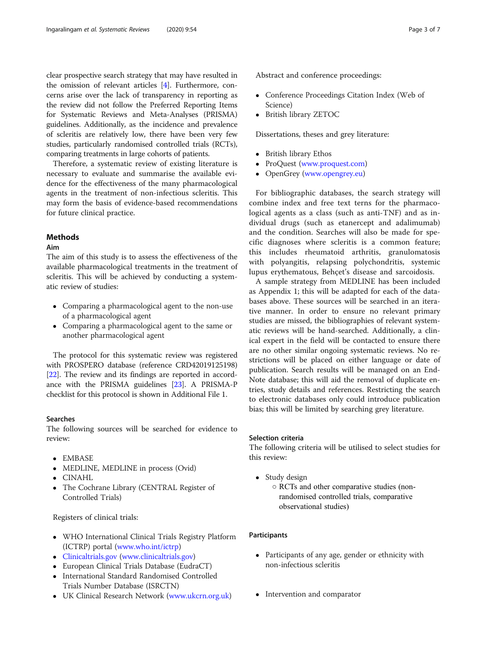clear prospective search strategy that may have resulted in the omission of relevant articles [[4\]](#page-6-0). Furthermore, concerns arise over the lack of transparency in reporting as the review did not follow the Preferred Reporting Items for Systematic Reviews and Meta-Analyses (PRISMA) guidelines. Additionally, as the incidence and prevalence of scleritis are relatively low, there have been very few studies, particularly randomised controlled trials (RCTs), comparing treatments in large cohorts of patients.

Therefore, a systematic review of existing literature is necessary to evaluate and summarise the available evidence for the effectiveness of the many pharmacological agents in the treatment of non-infectious scleritis. This may form the basis of evidence-based recommendations for future clinical practice.

# Methods

### Aim

The aim of this study is to assess the effectiveness of the available pharmacological treatments in the treatment of scleritis. This will be achieved by conducting a systematic review of studies:

- Comparing a pharmacological agent to the non-use of a pharmacological agent
- Comparing a pharmacological agent to the same or another pharmacological agent

The protocol for this systematic review was registered with PROSPERO database (reference CRD42019125198) [[22](#page-6-0)]. The review and its findings are reported in accordance with the PRISMA guidelines [[23](#page-6-0)]. A PRISMA-P checklist for this protocol is shown in Additional File 1.

# Searches

The following sources will be searched for evidence to review:

- EMBASE
- MEDLINE, MEDLINE in process (Ovid)
- CINAHL
- The Cochrane Library (CENTRAL Register of Controlled Trials)

Registers of clinical trials:

- WHO International Clinical Trials Registry Platform (ICTRP) portal [\(www.who.int/ictrp\)](http://www.who.int/ictrp)
- [Clinicaltrials.gov](http://clinicaltrials.gov) [\(www.clinicaltrials.gov](http://www.clinicaltrials.gov))
- European Clinical Trials Database (EudraCT)
- International Standard Randomised Controlled Trials Number Database (ISRCTN)
- UK Clinical Research Network ([www.ukcrn.org.uk](http://www.ukcrn.org.uk))

Abstract and conference proceedings:

- Conference Proceedings Citation Index (Web of Science)
- British library ZETOC

Dissertations, theses and grey literature:

- British library Ethos
- ProQuest ([www.proquest.com](http://www.proquest.com))
- OpenGrey ([www.opengrey.eu\)](http://www.opengrey.eu)

For bibliographic databases, the search strategy will combine index and free text terns for the pharmacological agents as a class (such as anti-TNF) and as individual drugs (such as etanercept and adalimumab) and the condition. Searches will also be made for specific diagnoses where scleritis is a common feature; this includes rheumatoid arthritis, granulomatosis with polyangitis, relapsing polychondritis, systemic lupus erythematous, Behçet's disease and sarcoidosis.

A sample strategy from MEDLINE has been included as Appendix 1; this will be adapted for each of the databases above. These sources will be searched in an iterative manner. In order to ensure no relevant primary studies are missed, the bibliographies of relevant systematic reviews will be hand-searched. Additionally, a clinical expert in the field will be contacted to ensure there are no other similar ongoing systematic reviews. No restrictions will be placed on either language or date of publication. Search results will be managed on an End-Note database; this will aid the removal of duplicate entries, study details and references. Restricting the search to electronic databases only could introduce publication bias; this will be limited by searching grey literature.

# Selection criteria

The following criteria will be utilised to select studies for this review:

- Study design
	- RCTs and other comparative studies (nonrandomised controlled trials, comparative observational studies)

# Participants

- Participants of any age, gender or ethnicity with non-infectious scleritis
- Intervention and comparator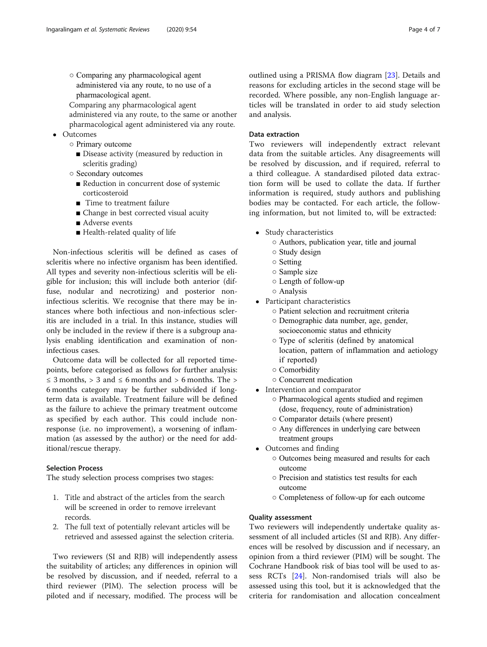- Comparing any pharmacological agent administered via any route, to no use of a pharmacological agent.
- Comparing any pharmacological agent
- administered via any route, to the same or another pharmacological agent administered via any route.
- Outcomes
	- Primary outcome
		- Disease activity (measured by reduction in scleritis grading)
	- Secondary outcomes
		- Reduction in concurrent dose of systemic corticosteroid
		- Time to treatment failure
		- Change in best corrected visual acuity
		- Adverse events
		- Health-related quality of life

Non-infectious scleritis will be defined as cases of scleritis where no infective organism has been identified. All types and severity non-infectious scleritis will be eligible for inclusion; this will include both anterior (diffuse, nodular and necrotizing) and posterior noninfectious scleritis. We recognise that there may be instances where both infectious and non-infectious scleritis are included in a trial. In this instance, studies will only be included in the review if there is a subgroup analysis enabling identification and examination of noninfectious cases.

Outcome data will be collected for all reported timepoints, before categorised as follows for further analysis:  $\leq$  3 months,  $>$  3 and  $\leq$  6 months and  $>$  6 months. The  $>$ 6 months category may be further subdivided if longterm data is available. Treatment failure will be defined as the failure to achieve the primary treatment outcome as specified by each author. This could include nonresponse (i.e. no improvement), a worsening of inflammation (as assessed by the author) or the need for additional/rescue therapy.

# Selection Process

The study selection process comprises two stages:

- 1. Title and abstract of the articles from the search will be screened in order to remove irrelevant records.
- 2. The full text of potentially relevant articles will be retrieved and assessed against the selection criteria.

Two reviewers (SI and RJB) will independently assess the suitability of articles; any differences in opinion will be resolved by discussion, and if needed, referral to a third reviewer (PIM). The selection process will be piloted and if necessary, modified. The process will be outlined using a PRISMA flow diagram [[23\]](#page-6-0). Details and reasons for excluding articles in the second stage will be recorded. Where possible, any non-English language articles will be translated in order to aid study selection and analysis.

# Data extraction

Two reviewers will independently extract relevant data from the suitable articles. Any disagreements will be resolved by discussion, and if required, referral to a third colleague. A standardised piloted data extraction form will be used to collate the data. If further information is required, study authors and publishing bodies may be contacted. For each article, the following information, but not limited to, will be extracted:

- Study characteristics
	- Authors, publication year, title and journal
	- Study design
	- Setting
	- Sample size
	- Length of follow-up
	- Analysis
- Participant characteristics
	- Patient selection and recruitment criteria
	- Demographic data number, age, gender, socioeconomic status and ethnicity
	- Type of scleritis (defined by anatomical location, pattern of inflammation and aetiology if reported)
	- Comorbidity
	- Concurrent medication
- Intervention and comparator
	- Pharmacological agents studied and regimen (dose, frequency, route of administration)
	- Comparator details (where present)
	- Any differences in underlying care between treatment groups
- Outcomes and finding
	- Outcomes being measured and results for each outcome
	- Precision and statistics test results for each outcome
	- Completeness of follow-up for each outcome

# Quality assessment

Two reviewers will independently undertake quality assessment of all included articles (SI and RJB). Any differences will be resolved by discussion and if necessary, an opinion from a third reviewer (PIM) will be sought. The Cochrane Handbook risk of bias tool will be used to assess RCTs [\[24\]](#page-6-0). Non-randomised trials will also be assessed using this tool, but it is acknowledged that the criteria for randomisation and allocation concealment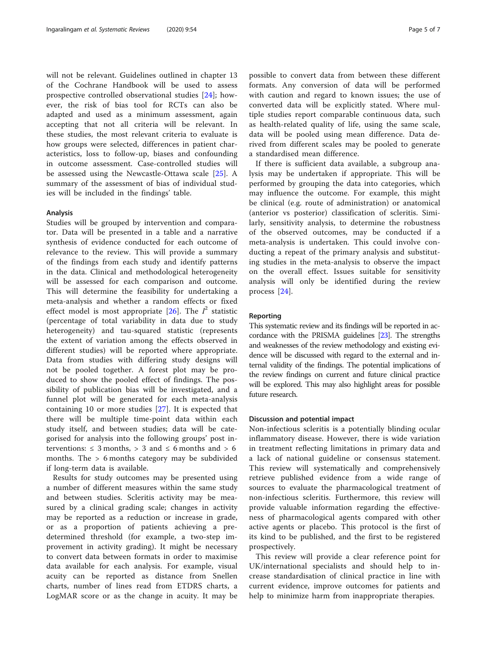will not be relevant. Guidelines outlined in chapter 13 of the Cochrane Handbook will be used to assess prospective controlled observational studies [[24\]](#page-6-0); however, the risk of bias tool for RCTs can also be adapted and used as a minimum assessment, again accepting that not all criteria will be relevant. In these studies, the most relevant criteria to evaluate is how groups were selected, differences in patient characteristics, loss to follow-up, biases and confounding in outcome assessment. Case-controlled studies will be assessed using the Newcastle-Ottawa scale [\[25](#page-6-0)]. A summary of the assessment of bias of individual studies will be included in the findings' table.

#### Analysis

Studies will be grouped by intervention and comparator. Data will be presented in a table and a narrative synthesis of evidence conducted for each outcome of relevance to the review. This will provide a summary of the findings from each study and identify patterns in the data. Clinical and methodological heterogeneity will be assessed for each comparison and outcome. This will determine the feasibility for undertaking a meta-analysis and whether a random effects or fixed effect model is most appropriate [\[26](#page-6-0)]. The  $I^2$  statistic (percentage of total variability in data due to study heterogeneity) and tau-squared statistic (represents the extent of variation among the effects observed in different studies) will be reported where appropriate. Data from studies with differing study designs will not be pooled together. A forest plot may be produced to show the pooled effect of findings. The possibility of publication bias will be investigated, and a funnel plot will be generated for each meta-analysis containing 10 or more studies [\[27](#page-6-0)]. It is expected that there will be multiple time-point data within each study itself, and between studies; data will be categorised for analysis into the following groups' post interventions:  $\leq$  3 months,  $>$  3 and  $\leq$  6 months and  $>$  6 months. The > 6 months category may be subdivided if long-term data is available.

Results for study outcomes may be presented using a number of different measures within the same study and between studies. Scleritis activity may be measured by a clinical grading scale; changes in activity may be reported as a reduction or increase in grade, or as a proportion of patients achieving a predetermined threshold (for example, a two-step improvement in activity grading). It might be necessary to convert data between formats in order to maximise data available for each analysis. For example, visual acuity can be reported as distance from Snellen charts, number of lines read from ETDRS charts, a LogMAR score or as the change in acuity. It may be

possible to convert data from between these different formats. Any conversion of data will be performed with caution and regard to known issues; the use of converted data will be explicitly stated. Where multiple studies report comparable continuous data, such as health-related quality of life, using the same scale, data will be pooled using mean difference. Data derived from different scales may be pooled to generate a standardised mean difference.

If there is sufficient data available, a subgroup analysis may be undertaken if appropriate. This will be performed by grouping the data into categories, which may influence the outcome. For example, this might be clinical (e.g. route of administration) or anatomical (anterior vs posterior) classification of scleritis. Similarly, sensitivity analysis, to determine the robustness of the observed outcomes, may be conducted if a meta-analysis is undertaken. This could involve conducting a repeat of the primary analysis and substituting studies in the meta-analysis to observe the impact on the overall effect. Issues suitable for sensitivity analysis will only be identified during the review process [[24\]](#page-6-0).

## Reporting

This systematic review and its findings will be reported in accordance with the PRISMA guidelines [\[23\]](#page-6-0). The strengths and weaknesses of the review methodology and existing evidence will be discussed with regard to the external and internal validity of the findings. The potential implications of the review findings on current and future clinical practice will be explored. This may also highlight areas for possible future research.

# Discussion and potential impact

Non-infectious scleritis is a potentially blinding ocular inflammatory disease. However, there is wide variation in treatment reflecting limitations in primary data and a lack of national guideline or consensus statement. This review will systematically and comprehensively retrieve published evidence from a wide range of sources to evaluate the pharmacological treatment of non-infectious scleritis. Furthermore, this review will provide valuable information regarding the effectiveness of pharmacological agents compared with other active agents or placebo. This protocol is the first of its kind to be published, and the first to be registered prospectively.

This review will provide a clear reference point for UK/international specialists and should help to increase standardisation of clinical practice in line with current evidence, improve outcomes for patients and help to minimize harm from inappropriate therapies.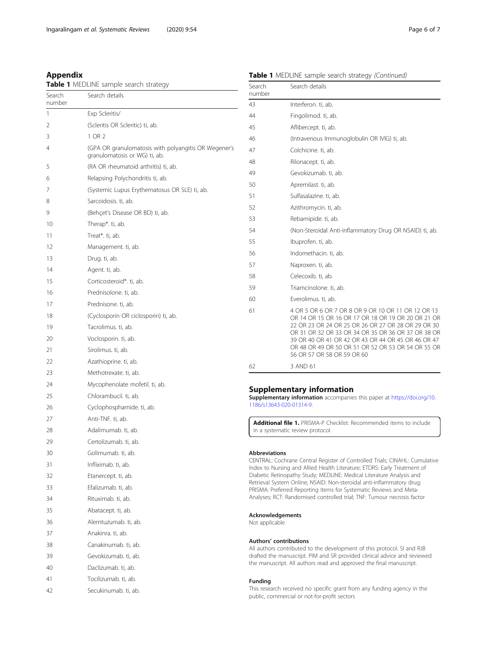# Appendix

# Table 1 MEDLINE sample search strategy

| Search<br>number | Search details                                                                        |
|------------------|---------------------------------------------------------------------------------------|
| 1                | Exp Scleritis/                                                                        |
| 2                | (Scleritis OR Scleritic) ti, ab.                                                      |
| 3                | 1 OR 2                                                                                |
| 4                | (GPA OR granulomatosis with polyangitis OR Wegener's<br>granulomatosis or WG) ti, ab. |
| 5                | (RA OR rheumatoid arthritis) ti, ab.                                                  |
| 6                | Relapsing Polychondritis ti, ab.                                                      |
| 7                | (Systemic Lupus Erythematosus OR SLE) ti, ab.                                         |
| 8                | Sarcoidosis. ti, ab.                                                                  |
| 9                | (Behçet's Disease OR BD) ti, ab.                                                      |
| 10               | Therap*. ti, ab.                                                                      |
| 11               | Treat*. ti, ab.                                                                       |
| 12               | Management. ti, ab.                                                                   |
| 13               | Drug. ti, ab.                                                                         |
| 14               | Agent. ti, ab.                                                                        |
| 15               | Corticosteroid*. ti, ab.                                                              |
| 16               | Prednisolone. ti, ab.                                                                 |
| 17               | Prednisone. ti, ab.                                                                   |
| 18               | (Cyclosporin OR ciclosporin) ti, ab.                                                  |
| 19               | Tacrolimus. ti, ab.                                                                   |
| 20               | Voclosporin. ti, ab.                                                                  |
| 21               | Sirolimus. ti, ab.                                                                    |
| 22               | Azathioprine. ti, ab.                                                                 |
| 23               | Methotrexate. ti, ab.                                                                 |
| 24               | Mycophenolate mofetil. ti, ab.                                                        |
| 25               | Chlorambucil. ti, ab.                                                                 |
| 26               | Cyclophosphamide. ti, ab.                                                             |
| 27               | Anti-TNF. ti, ab.                                                                     |
| 28               | Adalimumab. ti, ab.                                                                   |
| 29               | Certolizumab. ti, ab.                                                                 |
| 30               | Golimumab. ti, ab.                                                                    |
| 31               | Infliximab. ti, ab.                                                                   |
| 32               | Etanercept. ti, ab.                                                                   |
| 33               | Efalizumab. ti, ab.                                                                   |
| 34               | Rituximab. ti, ab.                                                                    |
| 35               | Abatacept. ti, ab.                                                                    |
| 36               | Alemtuzumab. ti, ab.                                                                  |
| 37               | Anakinra. ti, ab.                                                                     |
| 38               | Canakinumab. ti, ab.                                                                  |
| 39               | Gevokizumab. ti, ab.                                                                  |
| 40               | Daclizumab. ti, ab.                                                                   |
|                  |                                                                                       |

41 Tocilizumab. ti, ab. 42 Secukinumab. ti, ab.

| Table 1 MEDLINE sample search strategy (Continued) |
|----------------------------------------------------|
|----------------------------------------------------|

| Search<br>number | Search details                                                                                                                                                                                                                                                                                                                                                 |
|------------------|----------------------------------------------------------------------------------------------------------------------------------------------------------------------------------------------------------------------------------------------------------------------------------------------------------------------------------------------------------------|
|                  |                                                                                                                                                                                                                                                                                                                                                                |
| 43               | Interferon. ti, ab.                                                                                                                                                                                                                                                                                                                                            |
| 44               | Fingolimod. ti, ab.                                                                                                                                                                                                                                                                                                                                            |
| 45               | Aflibercept. ti, ab.                                                                                                                                                                                                                                                                                                                                           |
| 46               | (Intravenous Immunoglobulin OR IVIG) ti, ab.                                                                                                                                                                                                                                                                                                                   |
| 47               | Colchicine. ti, ab.                                                                                                                                                                                                                                                                                                                                            |
| 48               | Rilonacept. ti, ab.                                                                                                                                                                                                                                                                                                                                            |
| 49               | Gevokizumab. ti, ab.                                                                                                                                                                                                                                                                                                                                           |
| 50               | Apremilast. ti, ab.                                                                                                                                                                                                                                                                                                                                            |
| 51               | Sulfasalazine. ti, ab.                                                                                                                                                                                                                                                                                                                                         |
| 52               | Azithromycin. ti, ab.                                                                                                                                                                                                                                                                                                                                          |
| 53               | Rebamipide. ti, ab.                                                                                                                                                                                                                                                                                                                                            |
| 54               | (Non-Steroidal Anti-inflammatory Drug OR NSAID) ti, ab.                                                                                                                                                                                                                                                                                                        |
| 55               | Ibuprofen. ti, ab.                                                                                                                                                                                                                                                                                                                                             |
| 56               | Indomethacin. ti, ab.                                                                                                                                                                                                                                                                                                                                          |
| 57               | Naproxen. ti, ab.                                                                                                                                                                                                                                                                                                                                              |
| 58               | Celecoxib. ti, ab.                                                                                                                                                                                                                                                                                                                                             |
| 59               | Triamcinolone. ti, ab.                                                                                                                                                                                                                                                                                                                                         |
| 60               | Everolimus. ti, ab.                                                                                                                                                                                                                                                                                                                                            |
| 61               | 4 OR 5 OR 6 OR 7 OR 8 OR 9 OR 10 OR 11 OR 12 OR 13<br>OR 14 OR 15 OR 16 OR 17 OR 18 OR 19 OR 20 OR 21 OR<br>22 OR 23 OR 24 OR 25 OR 26 OR 27 OR 28 OR 29 OR 30<br>OR 31 OR 32 OR 33 OR 34 OR 35 OR 36 OR 37 OR 38 OR<br>39 OR 40 OR 41 OR 42 OR 43 OR 44 OR 45 OR 46 OR 47<br>OR 48 OR 49 OR 50 OR 51 OR 52 OR 53 OR 54 OR 55 OR<br>56 OR 57 OR 58 OR 59 OR 60 |
| 62               | 3 AND 61                                                                                                                                                                                                                                                                                                                                                       |

# Supplementary information

Supplementary information accompanies this paper at [https://doi.org/10.](https://doi.org/10.1186/s13643-020-01314-9) [1186/s13643-020-01314-9](https://doi.org/10.1186/s13643-020-01314-9).

Additional file 1. PRISMA-P Checklist: Recommended items to include in a systematic review protocol.

#### Abbreviations

CENTRAL: Cochrane Central Register of Controlled Trials; CINAHL: Cumulative Index to Nursing and Allied Health Literature; ETDRS: Early Treatment of Diabetic Retinopathy Study; MEDLINE: Medical Literature Analysis and Retrieval System Online; NSAID: Non-steroidal anti-inflammatory drug; PRISMA: Preferred Reporting Items for Systematic Reviews and Meta-Analyses; RCT: Randomised controlled trial; TNF: Tumour necrosis factor

#### Acknowledgements

Not applicable

#### Authors' contributions

All authors contributed to the development of this protocol. SI and RJB drafted the manuscript. PIM and SR provided clinical advice and reviewed the manuscript. All authors read and approved the final manuscript.

# Funding

This research received no specific grant from any funding agency in the public, commercial or not-for-profit sectors